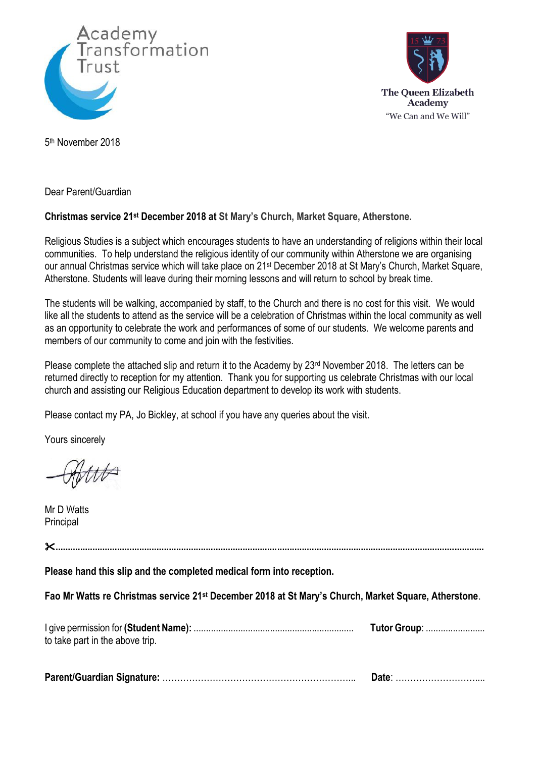



5 th November 2018

Dear Parent/Guardian

## **Christmas service 21st December 2018 at St Mary's Church, Market Square, Atherstone.**

Religious Studies is a subject which encourages students to have an understanding of religions within their local communities. To help understand the religious identity of our community within Atherstone we are organising our annual Christmas service which will take place on 21st December 2018 at St Mary's Church, Market Square, Atherstone. Students will leave during their morning lessons and will return to school by break time.

The students will be walking, accompanied by staff, to the Church and there is no cost for this visit. We would like all the students to attend as the service will be a celebration of Christmas within the local community as well as an opportunity to celebrate the work and performances of some of our students. We welcome parents and members of our community to come and join with the festivities.

Please complete the attached slip and return it to the Academy by 23<sup>rd</sup> November 2018. The letters can be returned directly to reception for my attention. Thank you for supporting us celebrate Christmas with our local church and assisting our Religious Education department to develop its work with students.

Please contact my PA, Jo Bickley, at school if you have any queries about the visit.

Yours sincerely

Mr D Watts **Principal** 

**.............................................................................................................................................................................. Please hand this slip and the completed medical form into reception. Fao Mr Watts re Christmas service 21st December 2018 at St Mary's Church, Market Square, Atherstone**. I give permission for **(Student Name):** ................................................................. **Tutor Group**: ........................ to take part in the above trip. **Parent/Guardian Signature:** ………………………………………………………... **Date**: ………………………....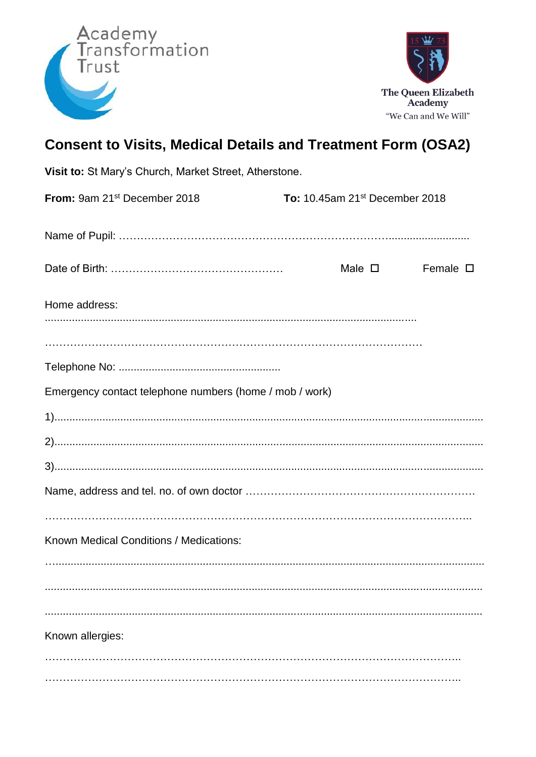



## **Consent to Visits, Medical Details and Treatment Form (OSA2)**

| Visit to: St Mary's Church, Market Street, Atherstone.  |                                                   |                  |
|---------------------------------------------------------|---------------------------------------------------|------------------|
| From: 9am 21 <sup>st</sup> December 2018                | <b>To:</b> 10.45am 21 <sup>st</sup> December 2018 |                  |
|                                                         |                                                   |                  |
|                                                         | Male $\square$                                    | Female $\square$ |
| Home address:                                           |                                                   |                  |
|                                                         |                                                   |                  |
|                                                         |                                                   |                  |
| Emergency contact telephone numbers (home / mob / work) |                                                   |                  |
|                                                         |                                                   |                  |
|                                                         |                                                   |                  |
|                                                         |                                                   |                  |
|                                                         |                                                   |                  |
| Known Medical Conditions / Medications:                 |                                                   |                  |
|                                                         |                                                   |                  |
| Known allergies:                                        |                                                   |                  |
|                                                         |                                                   |                  |
|                                                         |                                                   |                  |